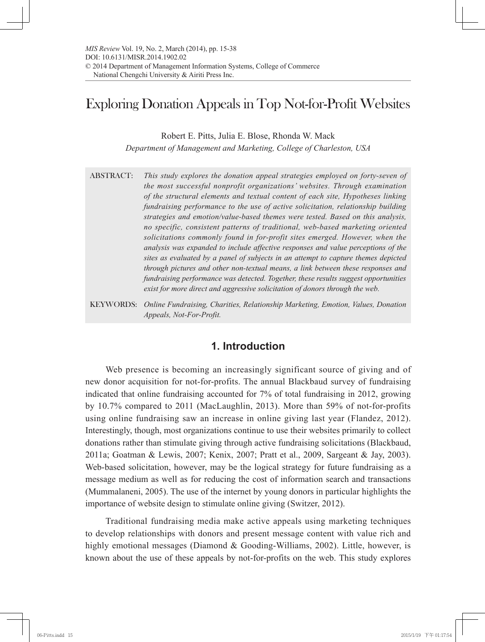# Exploring Donation Appeals in Top Not-for-Profit Websites

Robert E. Pitts, Julia E. Blose, Rhonda W. Mack

*Department of Management and Marketing, College of Charleston, USA*

- ABSTRACT: *This study explores the donation appeal strategies employed on forty-seven of the most successful nonprofit organizations' websites. Through examination of the structural elements and textual content of each site, Hypotheses linking fundraising performance to the use of active solicitation, relationship building strategies and emotion/value-based themes were tested. Based on this analysis, no specific, consistent patterns of traditional, web-based marketing oriented solicitations commonly found in for-profit sites emerged. However, when the analysis was expanded to include affective responses and value perceptions of the sites as evaluated by a panel of subjects in an attempt to capture themes depicted through pictures and other non-textual means, a link between these responses and fundraising performance was detected. Together, these results suggest opportunities exist for more direct and aggressive solicitation of donors through the web.*
- KEYWORDS: *Online Fundraising, Charities, Relationship Marketing, Emotion, Values, Donation Appeals, Not-For-Profit.*

# **1. Introduction**

Web presence is becoming an increasingly significant source of giving and of new donor acquisition for not-for-profits. The annual Blackbaud survey of fundraising indicated that online fundraising accounted for 7% of total fundraising in 2012, growing by 10.7% compared to 2011 (MacLaughlin, 2013). More than 59% of not-for-profits using online fundraising saw an increase in online giving last year (Flandez, 2012). Interestingly, though, most organizations continue to use their websites primarily to collect donations rather than stimulate giving through active fundraising solicitations (Blackbaud, 2011a; Goatman & Lewis, 2007; Kenix, 2007; Pratt et al., 2009, Sargeant & Jay, 2003). Web-based solicitation, however, may be the logical strategy for future fundraising as a message medium as well as for reducing the cost of information search and transactions (Mummalaneni, 2005). The use of the internet by young donors in particular highlights the importance of website design to stimulate online giving (Switzer, 2012).

Traditional fundraising media make active appeals using marketing techniques to develop relationships with donors and present message content with value rich and highly emotional messages (Diamond & Gooding-Williams, 2002). Little, however, is known about the use of these appeals by not-for-profits on the web. This study explores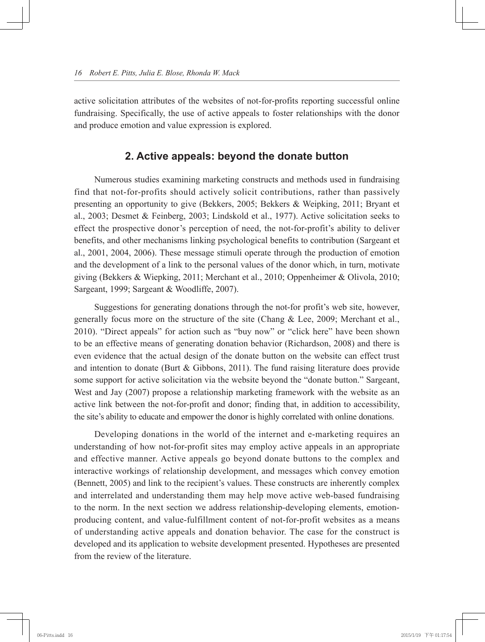active solicitation attributes of the websites of not-for-profits reporting successful online fundraising. Specifically, the use of active appeals to foster relationships with the donor and produce emotion and value expression is explored.

## **2. Active appeals: beyond the donate button**

Numerous studies examining marketing constructs and methods used in fundraising find that not-for-profits should actively solicit contributions, rather than passively presenting an opportunity to give (Bekkers, 2005; Bekkers & Weipking, 2011; Bryant et al., 2003; Desmet & Feinberg, 2003; Lindskold et al., 1977). Active solicitation seeks to effect the prospective donor's perception of need, the not-for-profit's ability to deliver benefits, and other mechanisms linking psychological benefits to contribution (Sargeant et al., 2001, 2004, 2006). These message stimuli operate through the production of emotion and the development of a link to the personal values of the donor which, in turn, motivate giving (Bekkers & Wiepking, 2011; Merchant et al., 2010; Oppenheimer & Olivola, 2010; Sargeant, 1999; Sargeant & Woodliffe, 2007).

Suggestions for generating donations through the not-for profit's web site, however, generally focus more on the structure of the site (Chang & Lee, 2009; Merchant et al., 2010). "Direct appeals" for action such as "buy now" or "click here" have been shown to be an effective means of generating donation behavior (Richardson, 2008) and there is even evidence that the actual design of the donate button on the website can effect trust and intention to donate (Burt  $\&$  Gibbons, 2011). The fund raising literature does provide some support for active solicitation via the website beyond the "donate button." Sargeant, West and Jay (2007) propose a relationship marketing framework with the website as an active link between the not-for-profit and donor; finding that, in addition to accessibility, the site's ability to educate and empower the donor is highly correlated with online donations.

Developing donations in the world of the internet and e-marketing requires an understanding of how not-for-profit sites may employ active appeals in an appropriate and effective manner. Active appeals go beyond donate buttons to the complex and interactive workings of relationship development, and messages which convey emotion (Bennett, 2005) and link to the recipient's values. These constructs are inherently complex and interrelated and understanding them may help move active web-based fundraising to the norm. In the next section we address relationship-developing elements, emotionproducing content, and value-fulfillment content of not-for-profit websites as a means of understanding active appeals and donation behavior. The case for the construct is developed and its application to website development presented. Hypotheses are presented from the review of the literature.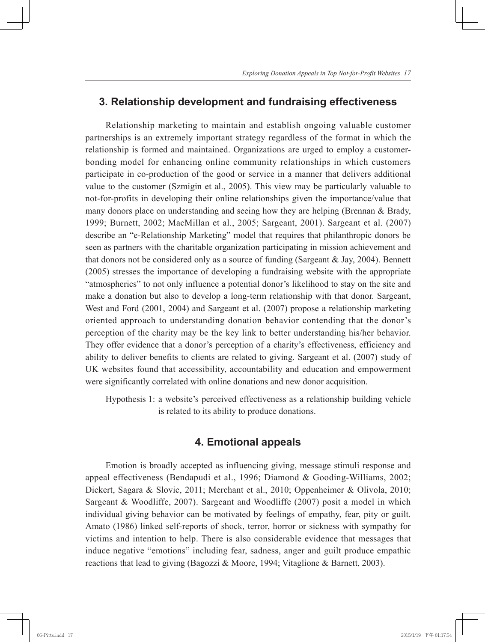# **3. Relationship development and fundraising effectiveness**

Relationship marketing to maintain and establish ongoing valuable customer partnerships is an extremely important strategy regardless of the format in which the relationship is formed and maintained. Organizations are urged to employ a customerbonding model for enhancing online community relationships in which customers participate in co-production of the good or service in a manner that delivers additional value to the customer (Szmigin et al., 2005). This view may be particularly valuable to not-for-profits in developing their online relationships given the importance/value that many donors place on understanding and seeing how they are helping (Brennan & Brady, 1999; Burnett, 2002; MacMillan et al., 2005; Sargeant, 2001). Sargeant et al. (2007) describe an "e-Relationship Marketing" model that requires that philanthropic donors be seen as partners with the charitable organization participating in mission achievement and that donors not be considered only as a source of funding (Sargeant & Jay, 2004). Bennett (2005) stresses the importance of developing a fundraising website with the appropriate "atmospherics" to not only influence a potential donor's likelihood to stay on the site and make a donation but also to develop a long-term relationship with that donor. Sargeant, West and Ford (2001, 2004) and Sargeant et al. (2007) propose a relationship marketing oriented approach to understanding donation behavior contending that the donor's perception of the charity may be the key link to better understanding his/her behavior. They offer evidence that a donor's perception of a charity's effectiveness, efficiency and ability to deliver benefits to clients are related to giving. Sargeant et al. (2007) study of UK websites found that accessibility, accountability and education and empowerment were significantly correlated with online donations and new donor acquisition.

Hypothesis 1: a website's perceived effectiveness as a relationship building vehicle is related to its ability to produce donations.

# **4. Emotional appeals**

Emotion is broadly accepted as influencing giving, message stimuli response and appeal effectiveness (Bendapudi et al., 1996; Diamond & Gooding-Williams, 2002; Dickert, Sagara & Slovic, 2011; Merchant et al., 2010; Oppenheimer & Olivola, 2010; Sargeant & Woodliffe, 2007). Sargeant and Woodliffe (2007) posit a model in which individual giving behavior can be motivated by feelings of empathy, fear, pity or guilt. Amato (1986) linked self-reports of shock, terror, horror or sickness with sympathy for victims and intention to help. There is also considerable evidence that messages that induce negative "emotions" including fear, sadness, anger and guilt produce empathic reactions that lead to giving (Bagozzi & Moore, 1994; Vitaglione & Barnett, 2003).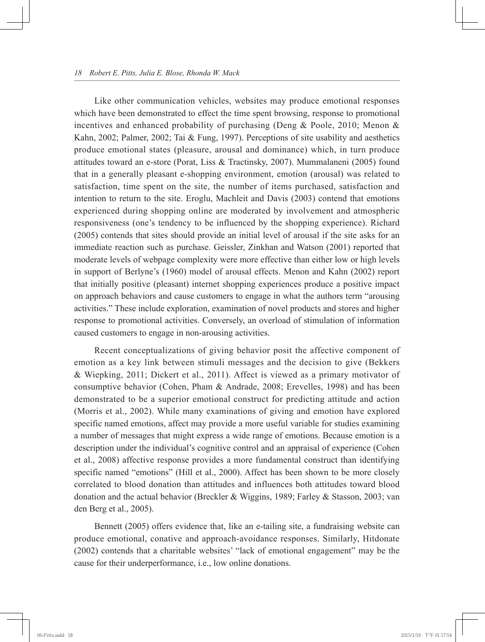Like other communication vehicles, websites may produce emotional responses which have been demonstrated to effect the time spent browsing, response to promotional incentives and enhanced probability of purchasing (Deng & Poole, 2010; Menon & Kahn, 2002; Palmer, 2002; Tai & Fung, 1997). Perceptions of site usability and aesthetics produce emotional states (pleasure, arousal and dominance) which, in turn produce attitudes toward an e-store (Porat, Liss & Tractinsky, 2007). Mummalaneni (2005) found that in a generally pleasant e-shopping environment, emotion (arousal) was related to satisfaction, time spent on the site, the number of items purchased, satisfaction and intention to return to the site. Eroglu, Machleit and Davis (2003) contend that emotions experienced during shopping online are moderated by involvement and atmospheric responsiveness (one's tendency to be influenced by the shopping experience). Richard (2005) contends that sites should provide an initial level of arousal if the site asks for an immediate reaction such as purchase. Geissler, Zinkhan and Watson (2001) reported that moderate levels of webpage complexity were more effective than either low or high levels in support of Berlyne's (1960) model of arousal effects. Menon and Kahn (2002) report that initially positive (pleasant) internet shopping experiences produce a positive impact on approach behaviors and cause customers to engage in what the authors term "arousing activities." These include exploration, examination of novel products and stores and higher response to promotional activities. Conversely, an overload of stimulation of information caused customers to engage in non-arousing activities.

Recent conceptualizations of giving behavior posit the affective component of emotion as a key link between stimuli messages and the decision to give (Bekkers & Wiepking, 2011; Dickert et al., 2011). Affect is viewed as a primary motivator of consumptive behavior (Cohen, Pham & Andrade, 2008; Erevelles, 1998) and has been demonstrated to be a superior emotional construct for predicting attitude and action (Morris et al., 2002). While many examinations of giving and emotion have explored specific named emotions, affect may provide a more useful variable for studies examining a number of messages that might express a wide range of emotions. Because emotion is a description under the individual's cognitive control and an appraisal of experience (Cohen et al., 2008) affective response provides a more fundamental construct than identifying specific named "emotions" (Hill et al., 2000). Affect has been shown to be more closely correlated to blood donation than attitudes and influences both attitudes toward blood donation and the actual behavior (Breckler & Wiggins, 1989; Farley & Stasson, 2003; van den Berg et al., 2005).

Bennett (2005) offers evidence that, like an e-tailing site, a fundraising website can produce emotional, conative and approach-avoidance responses. Similarly, Hitdonate (2002) contends that a charitable websites' "lack of emotional engagement" may be the cause for their underperformance, i.e., low online donations.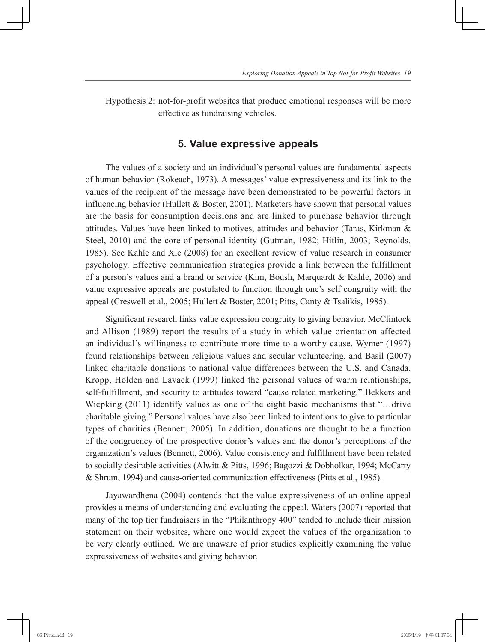Hypothesis 2: not-for-profit websites that produce emotional responses will be more effective as fundraising vehicles.

# **5. Value expressive appeals**

The values of a society and an individual's personal values are fundamental aspects of human behavior (Rokeach, 1973). A messages' value expressiveness and its link to the values of the recipient of the message have been demonstrated to be powerful factors in influencing behavior (Hullett  $\&$  Boster, 2001). Marketers have shown that personal values are the basis for consumption decisions and are linked to purchase behavior through attitudes. Values have been linked to motives, attitudes and behavior (Taras, Kirkman & Steel, 2010) and the core of personal identity (Gutman, 1982; Hitlin, 2003; Reynolds, 1985). See Kahle and Xie (2008) for an excellent review of value research in consumer psychology. Effective communication strategies provide a link between the fulfillment of a person's values and a brand or service (Kim, Boush, Marquardt & Kahle, 2006) and value expressive appeals are postulated to function through one's self congruity with the appeal (Creswell et al., 2005; Hullett & Boster, 2001; Pitts, Canty & Tsalikis, 1985).

Significant research links value expression congruity to giving behavior. McClintock and Allison (1989) report the results of a study in which value orientation affected an individual's willingness to contribute more time to a worthy cause. Wymer (1997) found relationships between religious values and secular volunteering, and Basil (2007) linked charitable donations to national value differences between the U.S. and Canada. Kropp, Holden and Lavack (1999) linked the personal values of warm relationships, self-fulfillment, and security to attitudes toward "cause related marketing." Bekkers and Wiepking (2011) identify values as one of the eight basic mechanisms that "…drive charitable giving." Personal values have also been linked to intentions to give to particular types of charities (Bennett, 2005). In addition, donations are thought to be a function of the congruency of the prospective donor's values and the donor's perceptions of the organization's values (Bennett, 2006). Value consistency and fulfillment have been related to socially desirable activities (Alwitt & Pitts, 1996; Bagozzi & Dobholkar, 1994; McCarty & Shrum, 1994) and cause-oriented communication effectiveness (Pitts et al., 1985).

Jayawardhena (2004) contends that the value expressiveness of an online appeal provides a means of understanding and evaluating the appeal. Waters (2007) reported that many of the top tier fundraisers in the "Philanthropy 400" tended to include their mission statement on their websites, where one would expect the values of the organization to be very clearly outlined. We are unaware of prior studies explicitly examining the value expressiveness of websites and giving behavior.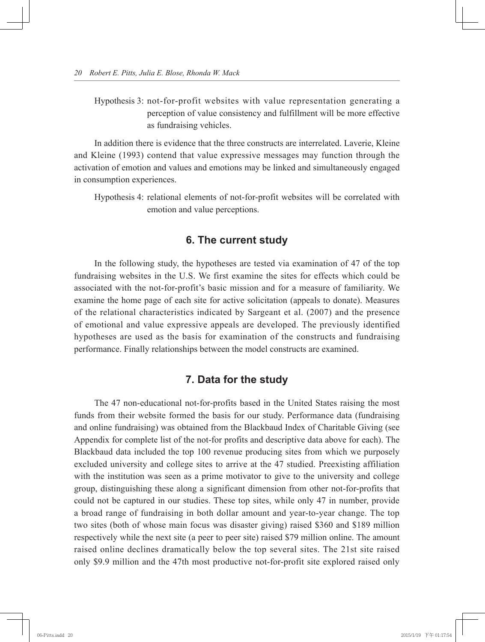Hypothesis 3: not-for-profit websites with value representation generating a perception of value consistency and fulfillment will be more effective as fundraising vehicles.

In addition there is evidence that the three constructs are interrelated. Laverie, Kleine and Kleine (1993) contend that value expressive messages may function through the activation of emotion and values and emotions may be linked and simultaneously engaged in consumption experiences.

Hypothesis 4: relational elements of not-for-profit websites will be correlated with emotion and value perceptions.

# **6. The current study**

In the following study, the hypotheses are tested via examination of 47 of the top fundraising websites in the U.S. We first examine the sites for effects which could be associated with the not-for-profit's basic mission and for a measure of familiarity. We examine the home page of each site for active solicitation (appeals to donate). Measures of the relational characteristics indicated by Sargeant et al. (2007) and the presence of emotional and value expressive appeals are developed. The previously identified hypotheses are used as the basis for examination of the constructs and fundraising performance. Finally relationships between the model constructs are examined.

# **7. Data for the study**

The 47 non-educational not-for-profits based in the United States raising the most funds from their website formed the basis for our study. Performance data (fundraising and online fundraising) was obtained from the Blackbaud Index of Charitable Giving (see Appendix for complete list of the not-for profits and descriptive data above for each). The Blackbaud data included the top 100 revenue producing sites from which we purposely excluded university and college sites to arrive at the 47 studied. Preexisting affiliation with the institution was seen as a prime motivator to give to the university and college group, distinguishing these along a significant dimension from other not-for-profits that could not be captured in our studies. These top sites, while only 47 in number, provide a broad range of fundraising in both dollar amount and year-to-year change. The top two sites (both of whose main focus was disaster giving) raised \$360 and \$189 million respectively while the next site (a peer to peer site) raised \$79 million online. The amount raised online declines dramatically below the top several sites. The 21st site raised only \$9.9 million and the 47th most productive not-for-profit site explored raised only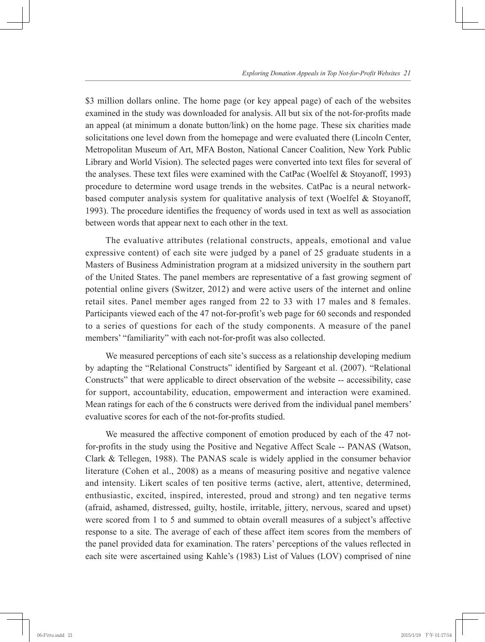\$3 million dollars online. The home page (or key appeal page) of each of the websites examined in the study was downloaded for analysis. All but six of the not-for-profits made an appeal (at minimum a donate button/link) on the home page. These six charities made solicitations one level down from the homepage and were evaluated there (Lincoln Center, Metropolitan Museum of Art, MFA Boston, National Cancer Coalition, New York Public Library and World Vision). The selected pages were converted into text files for several of the analyses. These text files were examined with the CatPac (Woelfel & Stoyanoff, 1993) procedure to determine word usage trends in the websites. CatPac is a neural networkbased computer analysis system for qualitative analysis of text (Woelfel & Stoyanoff, 1993). The procedure identifies the frequency of words used in text as well as association between words that appear next to each other in the text.

The evaluative attributes (relational constructs, appeals, emotional and value expressive content) of each site were judged by a panel of 25 graduate students in a Masters of Business Administration program at a midsized university in the southern part of the United States. The panel members are representative of a fast growing segment of potential online givers (Switzer, 2012) and were active users of the internet and online retail sites. Panel member ages ranged from 22 to 33 with 17 males and 8 females. Participants viewed each of the 47 not-for-profit's web page for 60 seconds and responded to a series of questions for each of the study components. A measure of the panel members' "familiarity" with each not-for-profit was also collected.

We measured perceptions of each site's success as a relationship developing medium by adapting the "Relational Constructs" identified by Sargeant et al. (2007). "Relational Constructs" that were applicable to direct observation of the website -- accessibility, case for support, accountability, education, empowerment and interaction were examined. Mean ratings for each of the 6 constructs were derived from the individual panel members' evaluative scores for each of the not-for-profits studied.

We measured the affective component of emotion produced by each of the 47 notfor-profits in the study using the Positive and Negative Affect Scale -- PANAS (Watson, Clark & Tellegen, 1988). The PANAS scale is widely applied in the consumer behavior literature (Cohen et al., 2008) as a means of measuring positive and negative valence and intensity. Likert scales of ten positive terms (active, alert, attentive, determined, enthusiastic, excited, inspired, interested, proud and strong) and ten negative terms (afraid, ashamed, distressed, guilty, hostile, irritable, jittery, nervous, scared and upset) were scored from 1 to 5 and summed to obtain overall measures of a subject's affective response to a site. The average of each of these affect item scores from the members of the panel provided data for examination. The raters' perceptions of the values reflected in each site were ascertained using Kahle's (1983) List of Values (LOV) comprised of nine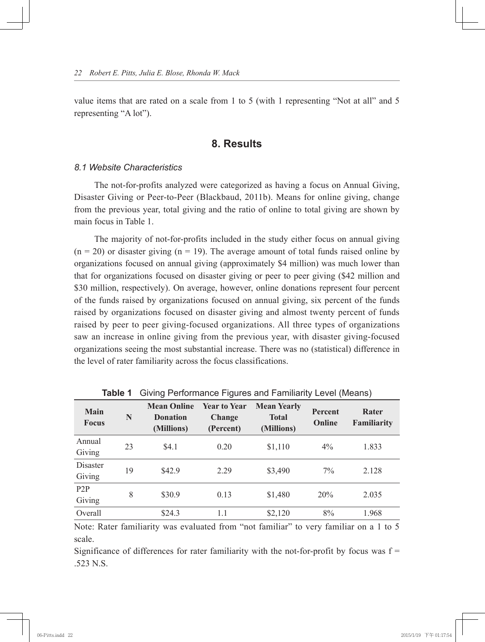value items that are rated on a scale from 1 to 5 (with 1 representing "Not at all" and 5 representing "A lot").

# **8. Results**

#### *8.1 Website Characteristics*

The not-for-profits analyzed were categorized as having a focus on Annual Giving, Disaster Giving or Peer-to-Peer (Blackbaud, 2011b). Means for online giving, change from the previous year, total giving and the ratio of online to total giving are shown by main focus in Table 1.

The majority of not-for-profits included in the study either focus on annual giving  $(n = 20)$  or disaster giving  $(n = 19)$ . The average amount of total funds raised online by organizations focused on annual giving (approximately \$4 million) was much lower than that for organizations focused on disaster giving or peer to peer giving (\$42 million and \$30 million, respectively). On average, however, online donations represent four percent of the funds raised by organizations focused on annual giving, six percent of the funds raised by organizations focused on disaster giving and almost twenty percent of funds raised by peer to peer giving-focused organizations. All three types of organizations saw an increase in online giving from the previous year, with disaster giving-focused organizations seeing the most substantial increase. There was no (statistical) difference in the level of rater familiarity across the focus classifications.

| <b>TWEE THE TERM IS THE TERM IS THE TERM IS THE TERM IS THE TERM IS THE TERM IS THE TERM IS THE TERM IS THE TERM IS THE TERM IS THE TERM IS THE TERM IS THE TERM IS THE TERM IS THE TERM IS THE TERM IS THE TERM IS THE TERM I</b> |    |                                                     |                                            |                                                  |                          |                             |
|------------------------------------------------------------------------------------------------------------------------------------------------------------------------------------------------------------------------------------|----|-----------------------------------------------------|--------------------------------------------|--------------------------------------------------|--------------------------|-----------------------------|
| <b>Main</b><br><b>Focus</b>                                                                                                                                                                                                        | N  | <b>Mean Online</b><br><b>Donation</b><br>(Millions) | <b>Year to Year</b><br>Change<br>(Percent) | <b>Mean Yearly</b><br><b>Total</b><br>(Millions) | <b>Percent</b><br>Online | Rater<br><b>Familiarity</b> |
| Annual<br>Giving                                                                                                                                                                                                                   | 23 | \$4.1                                               | 0.20                                       | \$1,110                                          | $4\%$                    | 1.833                       |
| Disaster<br>Giving                                                                                                                                                                                                                 | 19 | \$42.9                                              | 2 2 9                                      | \$3,490                                          | $7\%$                    | 2.128                       |
| P <sub>2</sub> P<br>Giving                                                                                                                                                                                                         | 8  | \$30.9                                              | 0.13                                       | \$1,480                                          | 20%                      | 2.035                       |
| Overall                                                                                                                                                                                                                            |    | \$24.3                                              | 1.1                                        | \$2,120                                          | 8%                       | 1.968                       |

**Table 1** Giving Performance Figures and Familiarity Level (Means)

Note: Rater familiarity was evaluated from "not familiar" to very familiar on a 1 to 5 scale.

Significance of differences for rater familiarity with the not-for-profit by focus was  $f =$ .523 N.S.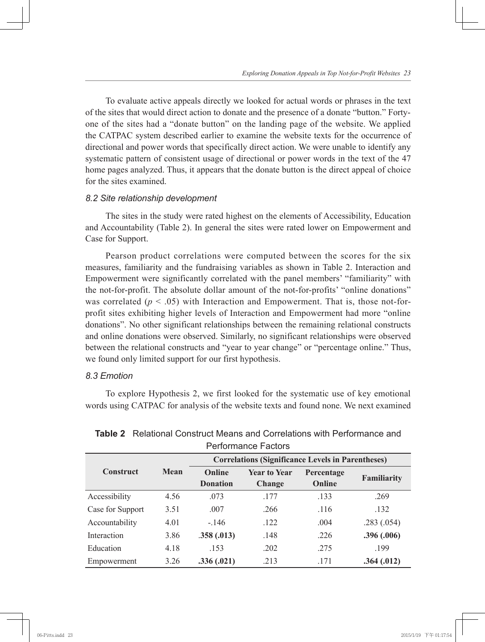To evaluate active appeals directly we looked for actual words or phrases in the text of the sites that would direct action to donate and the presence of a donate "button." Fortyone of the sites had a "donate button" on the landing page of the website. We applied the CATPAC system described earlier to examine the website texts for the occurrence of directional and power words that specifically direct action. We were unable to identify any systematic pattern of consistent usage of directional or power words in the text of the 47 home pages analyzed. Thus, it appears that the donate button is the direct appeal of choice for the sites examined.

#### *8.2 Site relationship development*

The sites in the study were rated highest on the elements of Accessibility, Education and Accountability (Table 2). In general the sites were rated lower on Empowerment and Case for Support.

Pearson product correlations were computed between the scores for the six measures, familiarity and the fundraising variables as shown in Table 2. Interaction and Empowerment were significantly correlated with the panel members' "familiarity" with the not-for-profit. The absolute dollar amount of the not-for-profits' "online donations" was correlated ( $p < .05$ ) with Interaction and Empowerment. That is, those not-forprofit sites exhibiting higher levels of Interaction and Empowerment had more "online donations". No other significant relationships between the remaining relational constructs and online donations were observed. Similarly, no significant relationships were observed between the relational constructs and "year to year change" or "percentage online." Thus, we found only limited support for our first hypothesis.

#### *8.3 Emotion*

To explore Hypothesis 2, we first looked for the systematic use of key emotional words using CATPAC for analysis of the website texts and found none. We next examined

| <b>Performance Factors</b><br><b>Correlations (Significance Levels in Parentheses)</b> |      |                           |                               |                      |                    |  |
|----------------------------------------------------------------------------------------|------|---------------------------|-------------------------------|----------------------|--------------------|--|
| <b>Construct</b>                                                                       | Mean | Online<br><b>Donation</b> | <b>Year to Year</b><br>Change | Percentage<br>Online | <b>Familiarity</b> |  |
| Accessibility                                                                          | 4.56 | .073                      | .177                          | .133                 | .269               |  |
| Case for Support                                                                       | 3.51 | .007                      | .266                          | .116                 | .132               |  |
| Accountability                                                                         | 4.01 | $-146$                    | .122                          | .004                 | .283(.054)         |  |
| Interaction                                                                            | 3.86 | .358(.013)                | .148                          | .226                 | .396(.006)         |  |
| Education                                                                              | 4.18 | .153                      | .202                          | .275                 | .199               |  |
| Empowerment                                                                            | 3.26 | .336(.021)                | .213                          | .171                 | .364(.012)         |  |

**Table 2** Relational Construct Means and Correlations with Performance and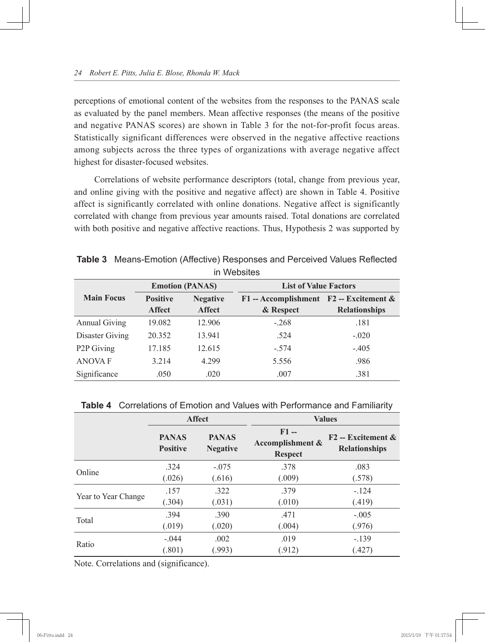perceptions of emotional content of the websites from the responses to the PANAS scale as evaluated by the panel members. Mean affective responses (the means of the positive and negative PANAS scores) are shown in Table 3 for the not-for-profit focus areas. Statistically significant differences were observed in the negative affective reactions among subjects across the three types of organizations with average negative affect highest for disaster-focused websites.

Correlations of website performance descriptors (total, change from previous year, and online giving with the positive and negative affect) are shown in Table 4. Positive affect is significantly correlated with online donations. Negative affect is significantly correlated with change from previous year amounts raised. Total donations are correlated with both positive and negative affective reactions. Thus, Hypothesis 2 was supported by

| III WEDSITES            |                                  |                                  |                                                        |                      |  |
|-------------------------|----------------------------------|----------------------------------|--------------------------------------------------------|----------------------|--|
|                         | <b>Emotion (PANAS)</b>           |                                  | <b>List of Value Factors</b>                           |                      |  |
| <b>Main Focus</b>       | <b>Positive</b><br><b>Affect</b> | <b>Negative</b><br><b>Affect</b> | $F1 - Accomplishment$ $F2 - Excitement$ &<br>& Respect | <b>Relationships</b> |  |
| <b>Annual Giving</b>    | 19.082                           | 12.906                           | $-.268$                                                | .181                 |  |
| Disaster Giving         | 20.352                           | 13.941                           | .524                                                   | $-.020$              |  |
| P <sub>2</sub> P Giving | 17.185                           | 12.615                           | $-.574$                                                | $-.405$              |  |
| <b>ANOVAF</b>           | 3.214                            | 4.299                            | 5.556                                                  | .986                 |  |
| Significance            | .050                             | .020                             | .007                                                   | .381                 |  |

**Table 3** Means-Emotion (Affective) Responses and Perceived Values Reflected in Websites

|  |  |  |  | <b>Table 4</b> Correlations of Emotion and Values with Performance and Familiarity |  |
|--|--|--|--|------------------------------------------------------------------------------------|--|
|--|--|--|--|------------------------------------------------------------------------------------|--|

|                     | <b>Affect</b>                   |                                 | <b>Values</b>                                |                                              |  |
|---------------------|---------------------------------|---------------------------------|----------------------------------------------|----------------------------------------------|--|
|                     | <b>PANAS</b><br><b>Positive</b> | <b>PANAS</b><br><b>Negative</b> | $F1 -$<br>Accomplishment &<br><b>Respect</b> | $F2 - Excitement \&$<br><b>Relationships</b> |  |
| Online              | .324                            | $-.075$                         | .378                                         | .083                                         |  |
|                     | (.026)                          | (.616)                          | (.009)                                       | (.578)                                       |  |
|                     | .157                            | .322                            | .379                                         | $-124$                                       |  |
| Year to Year Change | (.304)                          | (.031)                          | (.010)                                       | (.419)                                       |  |
|                     | .394                            | .390                            | .471                                         | $-.005$                                      |  |
| Total               | (.019)                          | (.020)                          | (.004)                                       | (.976)                                       |  |
|                     | $-.044$                         | .002                            | .019                                         | $-139$                                       |  |
| Ratio               | (.801)                          | (.993)                          | (.912)                                       | (.427)                                       |  |

Note. Correlations and (significance).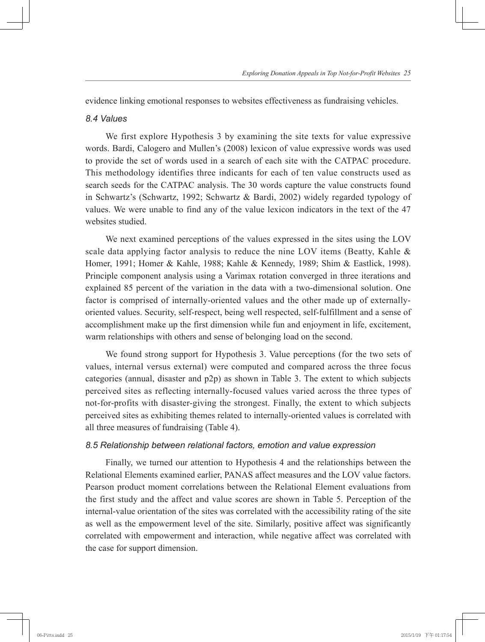evidence linking emotional responses to websites effectiveness as fundraising vehicles.

#### *8.4 Values*

We first explore Hypothesis 3 by examining the site texts for value expressive words. Bardi, Calogero and Mullen's (2008) lexicon of value expressive words was used to provide the set of words used in a search of each site with the CATPAC procedure. This methodology identifies three indicants for each of ten value constructs used as search seeds for the CATPAC analysis. The 30 words capture the value constructs found in Schwartz's (Schwartz, 1992; Schwartz & Bardi, 2002) widely regarded typology of values. We were unable to find any of the value lexicon indicators in the text of the 47 websites studied.

We next examined perceptions of the values expressed in the sites using the LOV scale data applying factor analysis to reduce the nine LOV items (Beatty, Kahle & Homer, 1991; Homer & Kahle, 1988; Kahle & Kennedy, 1989; Shim & Eastlick, 1998). Principle component analysis using a Varimax rotation converged in three iterations and explained 85 percent of the variation in the data with a two-dimensional solution. One factor is comprised of internally-oriented values and the other made up of externallyoriented values. Security, self-respect, being well respected, self-fulfillment and a sense of accomplishment make up the first dimension while fun and enjoyment in life, excitement, warm relationships with others and sense of belonging load on the second.

We found strong support for Hypothesis 3. Value perceptions (for the two sets of values, internal versus external) were computed and compared across the three focus categories (annual, disaster and p2p) as shown in Table 3. The extent to which subjects perceived sites as reflecting internally-focused values varied across the three types of not-for-profits with disaster-giving the strongest. Finally, the extent to which subjects perceived sites as exhibiting themes related to internally-oriented values is correlated with all three measures of fundraising (Table 4).

#### *8.5 Relationship between relational factors, emotion and value expression*

Finally, we turned our attention to Hypothesis 4 and the relationships between the Relational Elements examined earlier, PANAS affect measures and the LOV value factors. Pearson product moment correlations between the Relational Element evaluations from the first study and the affect and value scores are shown in Table 5. Perception of the internal-value orientation of the sites was correlated with the accessibility rating of the site as well as the empowerment level of the site. Similarly, positive affect was significantly correlated with empowerment and interaction, while negative affect was correlated with the case for support dimension.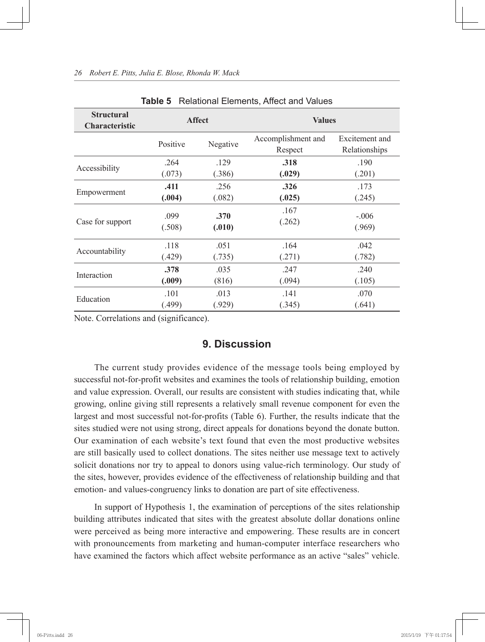| <b>Laple 5</b><br>Relational Elements, Allect and Values |               |          |                               |                                 |  |
|----------------------------------------------------------|---------------|----------|-------------------------------|---------------------------------|--|
| <b>Structural</b><br>Characteristic                      | <b>Affect</b> |          | <b>Values</b>                 |                                 |  |
|                                                          | Positive      | Negative | Accomplishment and<br>Respect | Excitement and<br>Relationships |  |
| Accessibility                                            | .264          | .129     | .318                          | .190                            |  |
|                                                          | (.073)        | (.386)   | (.029)                        | (.201)                          |  |
| Empowerment                                              | .411          | .256     | .326                          | .173                            |  |
|                                                          | (.004)        | (.082)   | (.025)                        | (.245)                          |  |
| Case for support                                         | .099          | .370     | .167                          | $-.006$                         |  |
|                                                          | (.508)        | (.010)   | (.262)                        | (.969)                          |  |
| Accountability                                           | .118          | .051     | .164                          | .042                            |  |
|                                                          | (.429)        | (.735)   | (.271)                        | (.782)                          |  |
| Interaction                                              | .378          | .035     | .247                          | .240                            |  |
|                                                          | (.009)        | (816)    | (.094)                        | (.105)                          |  |
| Education                                                | .101          | .013     | .141                          | .070                            |  |
|                                                          | (.499)        | (.929)   | (.345)                        | (.641)                          |  |

#### *26 Robert E. Pitts, Julia E. Blose, Rhonda W. Mack*

**Table 5** Relational Elements, Affect and Values

Note. Correlations and (significance).

### **9. Discussion**

The current study provides evidence of the message tools being employed by successful not-for-profit websites and examines the tools of relationship building, emotion and value expression. Overall, our results are consistent with studies indicating that, while growing, online giving still represents a relatively small revenue component for even the largest and most successful not-for-profits (Table 6). Further, the results indicate that the sites studied were not using strong, direct appeals for donations beyond the donate button. Our examination of each website's text found that even the most productive websites are still basically used to collect donations. The sites neither use message text to actively solicit donations nor try to appeal to donors using value-rich terminology. Our study of the sites, however, provides evidence of the effectiveness of relationship building and that emotion- and values-congruency links to donation are part of site effectiveness.

In support of Hypothesis 1, the examination of perceptions of the sites relationship building attributes indicated that sites with the greatest absolute dollar donations online were perceived as being more interactive and empowering. These results are in concert with pronouncements from marketing and human-computer interface researchers who have examined the factors which affect website performance as an active "sales" vehicle.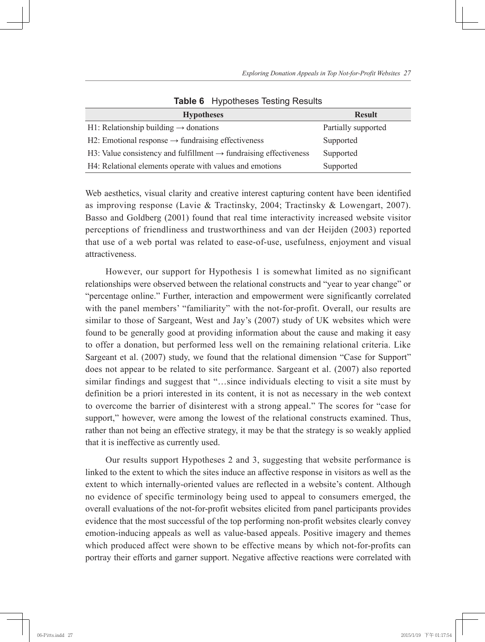| <b>Hypotheses</b>                                                             | <b>Result</b>       |
|-------------------------------------------------------------------------------|---------------------|
| H1: Relationship building $\rightarrow$ donations                             | Partially supported |
| H2: Emotional response $\rightarrow$ fundraising effectiveness                | Supported           |
| H3: Value consistency and fulfillment $\rightarrow$ fundraising effectiveness | Supported           |
| H4: Relational elements operate with values and emotions                      | Supported           |

**Table 6** Hypotheses Testing Results

Web aesthetics, visual clarity and creative interest capturing content have been identified as improving response (Lavie & Tractinsky, 2004; Tractinsky & Lowengart, 2007). Basso and Goldberg (2001) found that real time interactivity increased website visitor perceptions of friendliness and trustworthiness and van der Heijden (2003) reported that use of a web portal was related to ease-of-use, usefulness, enjoyment and visual attractiveness.

However, our support for Hypothesis 1 is somewhat limited as no significant relationships were observed between the relational constructs and "year to year change" or "percentage online." Further, interaction and empowerment were significantly correlated with the panel members' "familiarity" with the not-for-profit. Overall, our results are similar to those of Sargeant, West and Jay's (2007) study of UK websites which were found to be generally good at providing information about the cause and making it easy to offer a donation, but performed less well on the remaining relational criteria. Like Sargeant et al. (2007) study, we found that the relational dimension "Case for Support" does not appear to be related to site performance. Sargeant et al. (2007) also reported similar findings and suggest that "…since individuals electing to visit a site must by definition be a priori interested in its content, it is not as necessary in the web context to overcome the barrier of disinterest with a strong appeal." The scores for "case for support," however, were among the lowest of the relational constructs examined. Thus, rather than not being an effective strategy, it may be that the strategy is so weakly applied that it is ineffective as currently used.

Our results support Hypotheses 2 and 3, suggesting that website performance is linked to the extent to which the sites induce an affective response in visitors as well as the extent to which internally-oriented values are reflected in a website's content. Although no evidence of specific terminology being used to appeal to consumers emerged, the overall evaluations of the not-for-profit websites elicited from panel participants provides evidence that the most successful of the top performing non-profit websites clearly convey emotion-inducing appeals as well as value-based appeals. Positive imagery and themes which produced affect were shown to be effective means by which not-for-profits can portray their efforts and garner support. Negative affective reactions were correlated with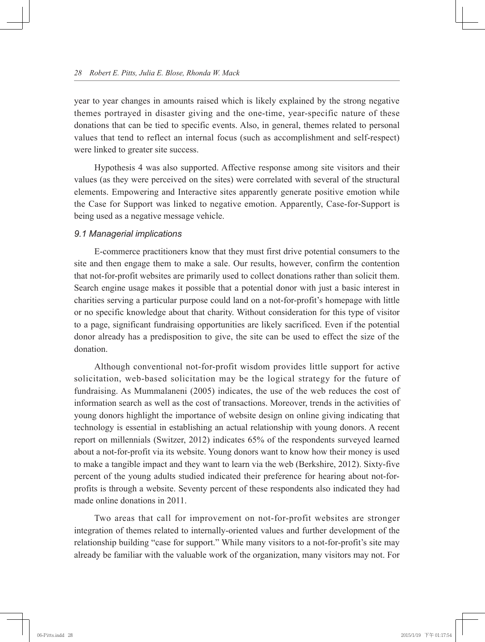year to year changes in amounts raised which is likely explained by the strong negative themes portrayed in disaster giving and the one-time, year-specific nature of these donations that can be tied to specific events. Also, in general, themes related to personal values that tend to reflect an internal focus (such as accomplishment and self-respect) were linked to greater site success.

Hypothesis 4 was also supported. Affective response among site visitors and their values (as they were perceived on the sites) were correlated with several of the structural elements. Empowering and Interactive sites apparently generate positive emotion while the Case for Support was linked to negative emotion. Apparently, Case-for-Support is being used as a negative message vehicle.

#### *9.1 Managerial implications*

E-commerce practitioners know that they must first drive potential consumers to the site and then engage them to make a sale. Our results, however, confirm the contention that not-for-profit websites are primarily used to collect donations rather than solicit them. Search engine usage makes it possible that a potential donor with just a basic interest in charities serving a particular purpose could land on a not-for-profit's homepage with little or no specific knowledge about that charity. Without consideration for this type of visitor to a page, significant fundraising opportunities are likely sacrificed. Even if the potential donor already has a predisposition to give, the site can be used to effect the size of the donation.

Although conventional not-for-profit wisdom provides little support for active solicitation, web-based solicitation may be the logical strategy for the future of fundraising. As Mummalaneni (2005) indicates, the use of the web reduces the cost of information search as well as the cost of transactions. Moreover, trends in the activities of young donors highlight the importance of website design on online giving indicating that technology is essential in establishing an actual relationship with young donors. A recent report on millennials (Switzer, 2012) indicates 65% of the respondents surveyed learned about a not-for-profit via its website. Young donors want to know how their money is used to make a tangible impact and they want to learn via the web (Berkshire, 2012). Sixty-five percent of the young adults studied indicated their preference for hearing about not-forprofits is through a website. Seventy percent of these respondents also indicated they had made online donations in 2011.

Two areas that call for improvement on not-for-profit websites are stronger integration of themes related to internally-oriented values and further development of the relationship building "case for support." While many visitors to a not-for-profit's site may already be familiar with the valuable work of the organization, many visitors may not. For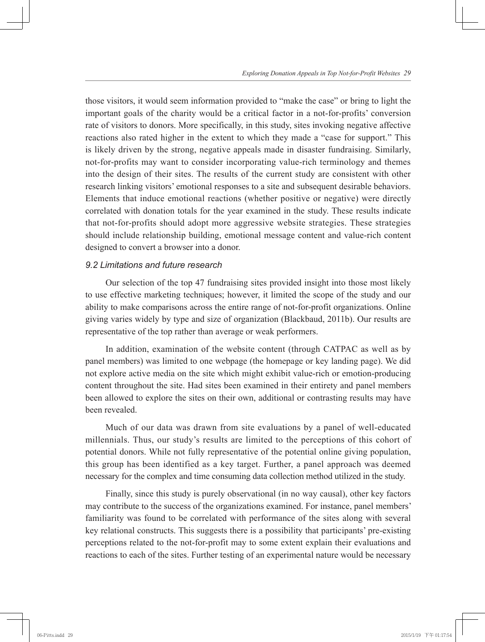those visitors, it would seem information provided to "make the case" or bring to light the important goals of the charity would be a critical factor in a not-for-profits' conversion rate of visitors to donors. More specifically, in this study, sites invoking negative affective reactions also rated higher in the extent to which they made a "case for support." This is likely driven by the strong, negative appeals made in disaster fundraising. Similarly, not-for-profits may want to consider incorporating value-rich terminology and themes into the design of their sites. The results of the current study are consistent with other research linking visitors' emotional responses to a site and subsequent desirable behaviors. Elements that induce emotional reactions (whether positive or negative) were directly correlated with donation totals for the year examined in the study. These results indicate that not-for-profits should adopt more aggressive website strategies. These strategies should include relationship building, emotional message content and value-rich content designed to convert a browser into a donor.

#### *9.2 Limitations and future research*

Our selection of the top 47 fundraising sites provided insight into those most likely to use effective marketing techniques; however, it limited the scope of the study and our ability to make comparisons across the entire range of not-for-profit organizations. Online giving varies widely by type and size of organization (Blackbaud, 2011b). Our results are representative of the top rather than average or weak performers.

In addition, examination of the website content (through CATPAC as well as by panel members) was limited to one webpage (the homepage or key landing page). We did not explore active media on the site which might exhibit value-rich or emotion-producing content throughout the site. Had sites been examined in their entirety and panel members been allowed to explore the sites on their own, additional or contrasting results may have been revealed.

Much of our data was drawn from site evaluations by a panel of well-educated millennials. Thus, our study's results are limited to the perceptions of this cohort of potential donors. While not fully representative of the potential online giving population, this group has been identified as a key target. Further, a panel approach was deemed necessary for the complex and time consuming data collection method utilized in the study.

Finally, since this study is purely observational (in no way causal), other key factors may contribute to the success of the organizations examined. For instance, panel members' familiarity was found to be correlated with performance of the sites along with several key relational constructs. This suggests there is a possibility that participants' pre-existing perceptions related to the not-for-profit may to some extent explain their evaluations and reactions to each of the sites. Further testing of an experimental nature would be necessary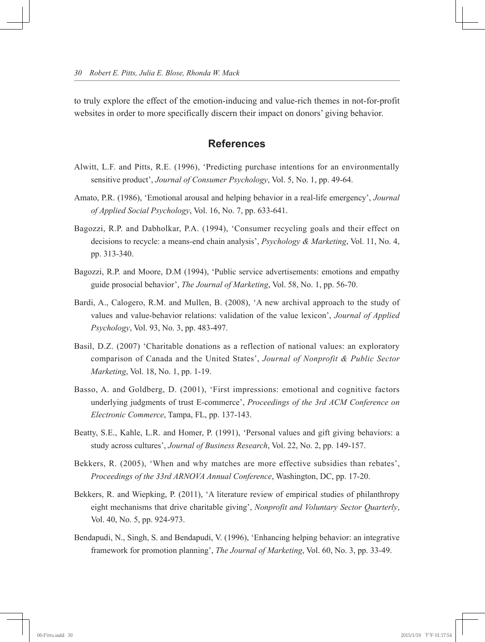to truly explore the effect of the emotion-inducing and value-rich themes in not-for-profit websites in order to more specifically discern their impact on donors' giving behavior.

## **References**

- Alwitt, L.F. and Pitts, R.E. (1996), 'Predicting purchase intentions for an environmentally sensitive product', *Journal of Consumer Psychology*, Vol. 5, No. 1, pp. 49-64.
- Amato, P.R. (1986), 'Emotional arousal and helping behavior in a real-life emergency', *Journal of Applied Social Psychology*, Vol. 16, No. 7, pp. 633-641.
- Bagozzi, R.P. and Dabholkar, P.A. (1994), 'Consumer recycling goals and their effect on decisions to recycle: a means-end chain analysis', *Psychology & Marketing*, Vol. 11, No. 4, pp. 313-340.
- Bagozzi, R.P. and Moore, D.M (1994), 'Public service advertisements: emotions and empathy guide prosocial behavior', *The Journal of Marketing*, Vol. 58, No. 1, pp. 56-70.
- Bardi, A., Calogero, R.M. and Mullen, B. (2008), 'A new archival approach to the study of values and value-behavior relations: validation of the value lexicon', *Journal of Applied Psychology*, Vol. 93, No. 3, pp. 483-497.
- Basil, D.Z. (2007) 'Charitable donations as a reflection of national values: an exploratory comparison of Canada and the United States', *Journal of Nonprofit & Public Sector Marketing*, Vol. 18, No. 1, pp. 1-19.
- Basso, A. and Goldberg, D. (2001), 'First impressions: emotional and cognitive factors underlying judgments of trust E-commerce', *Proceedings of the 3rd ACM Conference on Electronic Commerce*, Tampa, FL, pp. 137-143.
- Beatty, S.E., Kahle, L.R. and Homer, P. (1991), 'Personal values and gift giving behaviors: a study across cultures', *Journal of Business Research*, Vol. 22, No. 2, pp. 149-157.
- Bekkers, R. (2005), 'When and why matches are more effective subsidies than rebates', *Proceedings of the 33rd ARNOVA Annual Conference*, Washington, DC, pp. 17-20.
- Bekkers, R. and Wiepking, P. (2011), 'A literature review of empirical studies of philanthropy eight mechanisms that drive charitable giving', *Nonprofit and Voluntary Sector Quarterly*, Vol. 40, No. 5, pp. 924-973.
- Bendapudi, N., Singh, S. and Bendapudi, V. (1996), 'Enhancing helping behavior: an integrative framework for promotion planning', *The Journal of Marketing*, Vol. 60, No. 3, pp. 33-49.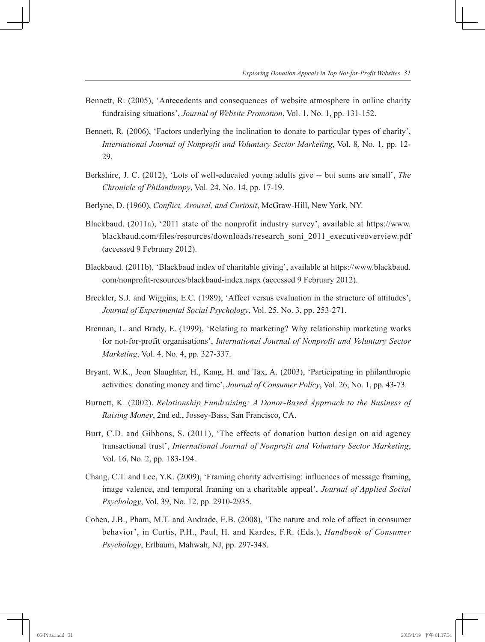- Bennett, R. (2005), 'Antecedents and consequences of website atmosphere in online charity fundraising situations', *Journal of Website Promotion*, Vol. 1, No. 1, pp. 131-152.
- Bennett, R. (2006), 'Factors underlying the inclination to donate to particular types of charity', *International Journal of Nonprofit and Voluntary Sector Marketing*, Vol. 8, No. 1, pp. 12- 29.
- Berkshire, J. C. (2012), 'Lots of well-educated young adults give -- but sums are small', *The Chronicle of Philanthropy*, Vol. 24, No. 14, pp. 17-19.
- Berlyne, D. (1960), *Conflict, Arousal, and Curiosit*, McGraw-Hill, New York, NY.
- Blackbaud. (2011a), '2011 state of the nonprofit industry survey', available at https://www. blackbaud.com/files/resources/downloads/research\_soni\_2011\_executiveoverview.pdf (accessed 9 February 2012).
- Blackbaud. (2011b), 'Blackbaud index of charitable giving', available at https://www.blackbaud. com/nonprofit-resources/blackbaud-index.aspx (accessed 9 February 2012).
- Breckler, S.J. and Wiggins, E.C. (1989), 'Affect versus evaluation in the structure of attitudes', *Journal of Experimental Social Psychology*, Vol. 25, No. 3, pp. 253-271.
- Brennan, L. and Brady, E. (1999), 'Relating to marketing? Why relationship marketing works for not-for-profit organisations', *International Journal of Nonprofit and Voluntary Sector Marketing*, Vol. 4, No. 4, pp. 327-337.
- Bryant, W.K., Jeon Slaughter, H., Kang, H. and Tax, A. (2003), 'Participating in philanthropic activities: donating money and time', *Journal of Consumer Policy*, Vol. 26, No. 1, pp. 43-73.
- Burnett, K. (2002). *Relationship Fundraising: A Donor-Based Approach to the Business of Raising Money*, 2nd ed., Jossey-Bass, San Francisco, CA.
- Burt, C.D. and Gibbons, S. (2011), 'The effects of donation button design on aid agency transactional trust', *International Journal of Nonprofit and Voluntary Sector Marketing*, Vol. 16, No. 2, pp. 183-194.
- Chang, C.T. and Lee, Y.K. (2009), 'Framing charity advertising: influences of message framing, image valence, and temporal framing on a charitable appeal', *Journal of Applied Social Psychology*, Vol. 39, No. 12, pp. 2910-2935.
- Cohen, J.B., Pham, M.T. and Andrade, E.B. (2008), 'The nature and role of affect in consumer behavior', in Curtis, P.H., Paul, H. and Kardes, F.R. (Eds.), *Handbook of Consumer Psychology*, Erlbaum, Mahwah, NJ, pp. 297-348.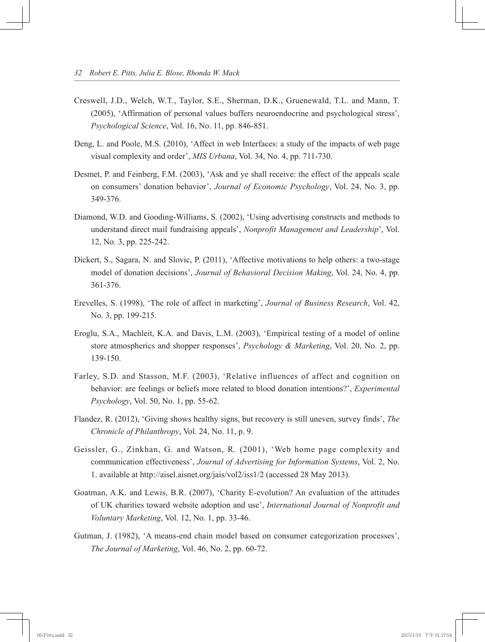- Creswell, J.D., Welch, W.T., Taylor, S.E., Sherman, D.K., Gruenewald, T.L. and Mann, T. (2005), 'Affirmation of personal values buffers neuroendocrine and psychological stress', *Psychological Science*, Vol. 16, No. 11, pp. 846-851.
- Deng, L. and Poole, M.S. (2010), 'Affect in web Interfaces: a study of the impacts of web page visual complexity and order', *MIS Urbana*, Vol. 34, No. 4, pp. 711-730.
- Desmet, P. and Feinberg, F.M. (2003), 'Ask and ye shall receive: the effect of the appeals scale on consumers' donation behavior', *Journal of Economic Psychology*, Vol. 24, No. 3, pp. 349-376.
- Diamond, W.D. and Gooding-Williams, S. (2002), 'Using advertising constructs and methods to understand direct mail fundraising appeals', *Nonprofit Management and Leadership*', Vol. 12, No. 3, pp. 225-242.
- Dickert, S., Sagara, N. and Slovic, P. (2011), 'Affective motivations to help others: a two-stage model of donation decisions', *Journal of Behavioral Decision Making*, Vol. 24, No. 4, pp. 361-376.
- Erevelles, S. (1998), 'The role of affect in marketing', *Journal of Business Research*, Vol. 42, No. 3, pp. 199-215.
- Eroglu, S.A., Machleit, K.A. and Davis, L.M. (2003), 'Empirical testing of a model of online store atmospherics and shopper responses', *Psychology & Marketing*, Vol. 20, No. 2, pp. 139-150.
- Farley, S.D. and Stasson, M.F. (2003), 'Relative influences of affect and cognition on behavior: are feelings or beliefs more related to blood donation intentions?', *Experimental Psychology*, Vol. 50, No. 1, pp. 55-62.
- Flandez, R. (2012), 'Giving shows healthy signs, but recovery is still uneven, survey finds', *The Chronicle of Philanthropy*, Vol. 24, No. 11, p. 9.
- Geissler, G., Zinkhan, G. and Watson, R. (2001), 'Web home page complexity and communication effectiveness', *Journal of Advertising for Information Systems*, Vol. 2, No. 1. available at http://aisel.aisnet.org/jais/vol2/iss1/2 (accessed 28 May 2013).
- Goatman, A.K. and Lewis, B.R. (2007), 'Charity E-evolution? An evaluation of the attitudes of UK charities toward website adoption and use', *International Journal of Nonprofit and Voluntary Marketing*, Vol. 12, No. 1, pp. 33-46.
- Gutman, J. (1982), 'A means-end chain model based on consumer categorization processes', *The Journal of Marketing*, Vol. 46, No. 2, pp. 60-72.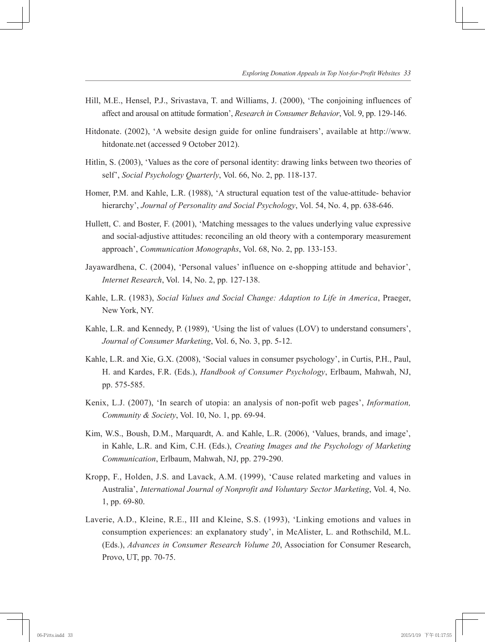- Hill, M.E., Hensel, P.J., Srivastava, T. and Williams, J. (2000), 'The conjoining influences of affect and arousal on attitude formation', *Research in Consumer Behavior*, Vol. 9, pp. 129-146.
- Hitdonate. (2002), 'A website design guide for online fundraisers', available at http://www. hitdonate.net (accessed 9 October 2012).
- Hitlin, S. (2003), 'Values as the core of personal identity: drawing links between two theories of self', *Social Psychology Quarterly*, Vol. 66, No. 2, pp. 118-137.
- Homer, P.M. and Kahle, L.R. (1988), 'A structural equation test of the value-attitude- behavior hierarchy', *Journal of Personality and Social Psychology*, Vol. 54, No. 4, pp. 638-646.
- Hullett, C. and Boster, F. (2001), 'Matching messages to the values underlying value expressive and social-adjustive attitudes: reconciling an old theory with a contemporary measurement approach', *Communication Monographs*, Vol. 68, No. 2, pp. 133-153.
- Jayawardhena, C. (2004), 'Personal values' influence on e-shopping attitude and behavior', *Internet Research*, Vol. 14, No. 2, pp. 127-138.
- Kahle, L.R. (1983), *Social Values and Social Change: Adaption to Life in America*, Praeger, New York, NY.
- Kahle, L.R. and Kennedy, P. (1989), 'Using the list of values (LOV) to understand consumers', *Journal of Consumer Marketing*, Vol. 6, No. 3, pp. 5-12.
- Kahle, L.R. and Xie, G.X. (2008), 'Social values in consumer psychology', in Curtis, P.H., Paul, H. and Kardes, F.R. (Eds.), *Handbook of Consumer Psychology*, Erlbaum, Mahwah, NJ, pp. 575-585.
- Kenix, L.J. (2007), 'In search of utopia: an analysis of non-pofit web pages', *Information, Community & Society*, Vol. 10, No. 1, pp. 69-94.
- Kim, W.S., Boush, D.M., Marquardt, A. and Kahle, L.R. (2006), 'Values, brands, and image', in Kahle, L.R. and Kim, C.H. (Eds.), *Creating Images and the Psychology of Marketing Communication*, Erlbaum, Mahwah, NJ, pp. 279-290.
- Kropp, F., Holden, J.S. and Lavack, A.M. (1999), 'Cause related marketing and values in Australia', *International Journal of Nonprofit and Voluntary Sector Marketing*, Vol. 4, No. 1, pp. 69-80.
- Laverie, A.D., Kleine, R.E., III and Kleine, S.S. (1993), 'Linking emotions and values in consumption experiences: an explanatory study', in McAlister, L. and Rothschild, M.L. (Eds.), *Advances in Consumer Research Volume 20*, Association for Consumer Research, Provo, UT, pp. 70-75.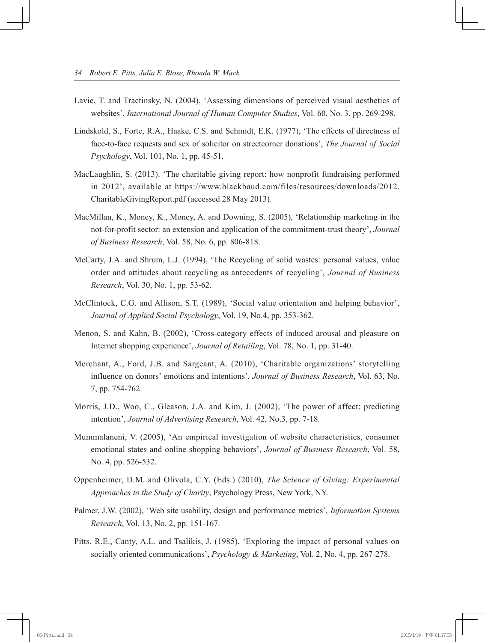- Lavie, T. and Tractinsky, N. (2004), 'Assessing dimensions of perceived visual aesthetics of websites', *International Journal of Human Computer Studies*, Vol. 60, No. 3, pp. 269-298.
- Lindskold, S., Forte, R.A., Haake, C.S. and Schmidt, E.K. (1977), 'The effects of directness of face-to-face requests and sex of solicitor on streetcorner donations', *The Journal of Social Psychology*, Vol. 101, No. 1, pp. 45-51.
- MacLaughlin, S. (2013). 'The charitable giving report: how nonprofit fundraising performed in 2012', available at https://www.blackbaud.com/files/resources/downloads/2012. CharitableGivingReport.pdf (accessed 28 May 2013).
- MacMillan, K., Money, K., Money, A. and Downing, S. (2005), 'Relationship marketing in the not-for-profit sector: an extension and application of the commitment-trust theory', *Journal of Business Research*, Vol. 58, No. 6, pp. 806-818.
- McCarty, J.A. and Shrum, L.J. (1994), 'The Recycling of solid wastes: personal values, value order and attitudes about recycling as antecedents of recycling', *Journal of Business Research*, Vol. 30, No. 1, pp. 53-62.
- McClintock, C.G. and Allison, S.T. (1989), 'Social value orientation and helping behavior', *Journal of Applied Social Psychology*, Vol. 19, No.4, pp. 353-362.
- Menon, S. and Kahn, B. (2002), 'Cross-category effects of induced arousal and pleasure on Internet shopping experience', *Journal of Retailing*, Vol. 78, No. 1, pp. 31-40.
- Merchant, A., Ford, J.B. and Sargeant, A. (2010), 'Charitable organizations' storytelling influence on donors' emotions and intentions', *Journal of Business Research*, Vol. 63, No. 7, pp. 754-762.
- Morris, J.D., Woo, C., Gleason, J.A. and Kim, J. (2002), 'The power of affect: predicting intention', *Journal of Advertising Research*, Vol. 42, No.3, pp. 7-18.
- Mummalaneni, V. (2005), 'An empirical investigation of website characteristics, consumer emotional states and online shopping behaviors', *Journal of Business Research*, Vol. 58, No. 4, pp. 526-532.
- Oppenheimer, D.M. and Olivola, C.Y. (Eds.) (2010), *The Science of Giving: Experimental Approaches to the Study of Charity*, Psychology Press, New York, NY.
- Palmer, J.W. (2002), 'Web site usability, design and performance metrics', *Information Systems Research*, Vol. 13, No. 2, pp. 151-167.
- Pitts, R.E., Canty, A.L. and Tsalikis, J. (1985), 'Exploring the impact of personal values on socially oriented communications', *Psychology & Marketing*, Vol. 2, No. 4, pp. 267-278.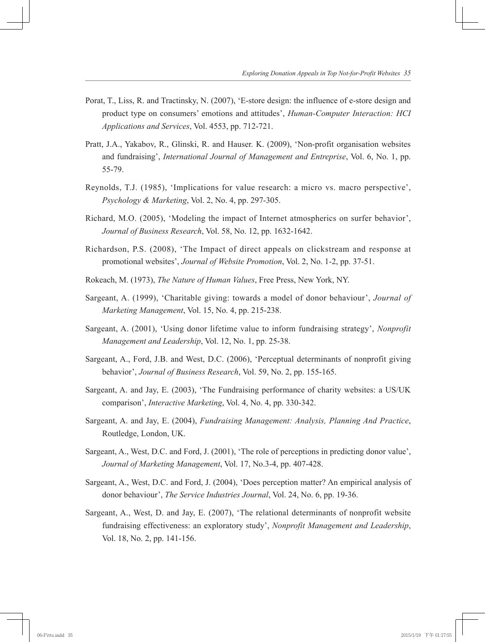- Porat, T., Liss, R. and Tractinsky, N. (2007), 'E-store design: the influence of e-store design and product type on consumers' emotions and attitudes', *Human-Computer Interaction: HCI Applications and Services*, Vol. 4553, pp. 712-721.
- Pratt, J.A., Yakabov, R., Glinski, R. and Hauser. K. (2009), 'Non-profit organisation websites and fundraising', *International Journal of Management and Entreprise*, Vol. 6, No. 1, pp. 55-79.
- Reynolds, T.J. (1985), 'Implications for value research: a micro vs. macro perspective', *Psychology & Marketing*, Vol. 2, No. 4, pp. 297-305.
- Richard, M.O. (2005), 'Modeling the impact of Internet atmospherics on surfer behavior', *Journal of Business Research*, Vol. 58, No. 12, pp. 1632-1642.
- Richardson, P.S. (2008), 'The Impact of direct appeals on clickstream and response at promotional websites', *Journal of Website Promotion*, Vol. 2, No. 1-2, pp. 37-51.
- Rokeach, M. (1973), *The Nature of Human Values*, Free Press, New York, NY.
- Sargeant, A. (1999), 'Charitable giving: towards a model of donor behaviour', *Journal of Marketing Management*, Vol. 15, No. 4, pp. 215-238.
- Sargeant, A. (2001), 'Using donor lifetime value to inform fundraising strategy', *Nonprofit Management and Leadership*, Vol. 12, No. 1, pp. 25-38.
- Sargeant, A., Ford, J.B. and West, D.C. (2006), 'Perceptual determinants of nonprofit giving behavior', *Journal of Business Research*, Vol. 59, No. 2, pp. 155-165.
- Sargeant, A. and Jay, E. (2003), 'The Fundraising performance of charity websites: a US/UK comparison', *Interactive Marketing*, Vol. 4, No. 4, pp. 330-342.
- Sargeant, A. and Jay, E. (2004), *Fundraising Management: Analysis, Planning And Practice*, Routledge, London, UK.
- Sargeant, A., West, D.C. and Ford, J. (2001), 'The role of perceptions in predicting donor value', *Journal of Marketing Management*, Vol. 17, No.3-4, pp. 407-428.
- Sargeant, A., West, D.C. and Ford, J. (2004), 'Does perception matter? An empirical analysis of donor behaviour', *The Service Industries Journal*, Vol. 24, No. 6, pp. 19-36.
- Sargeant, A., West, D. and Jay, E. (2007), 'The relational determinants of nonprofit website fundraising effectiveness: an exploratory study', *Nonprofit Management and Leadership*, Vol. 18, No. 2, pp. 141-156.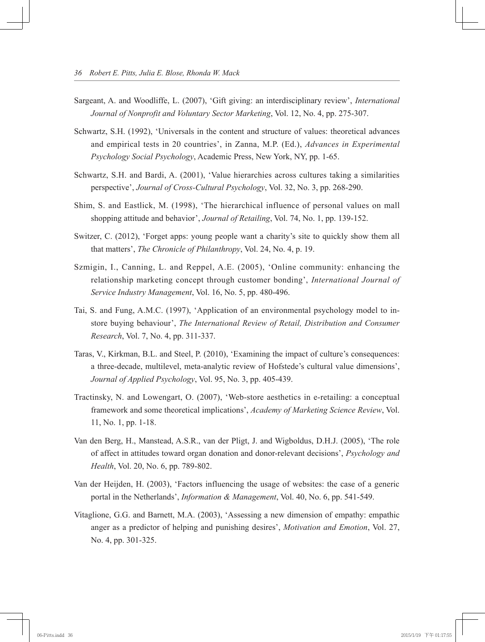- Sargeant, A. and Woodliffe, L. (2007), 'Gift giving: an interdisciplinary review', *International Journal of Nonprofit and Voluntary Sector Marketing*, Vol. 12, No. 4, pp. 275-307.
- Schwartz, S.H. (1992), 'Universals in the content and structure of values: theoretical advances and empirical tests in 20 countries', in Zanna, M.P. (Ed.), *Advances in Experimental Psychology Social Psychology*, Academic Press, New York, NY, pp. 1-65.
- Schwartz, S.H. and Bardi, A. (2001), 'Value hierarchies across cultures taking a similarities perspective', *Journal of Cross-Cultural Psychology*, Vol. 32, No. 3, pp. 268-290.
- Shim, S. and Eastlick, M. (1998), 'The hierarchical influence of personal values on mall shopping attitude and behavior', *Journal of Retailing*, Vol. 74, No. 1, pp. 139-152.
- Switzer, C. (2012), 'Forget apps: young people want a charity's site to quickly show them all that matters', *The Chronicle of Philanthropy*, Vol. 24, No. 4, p. 19.
- Szmigin, I., Canning, L. and Reppel, A.E. (2005), 'Online community: enhancing the relationship marketing concept through customer bonding', *International Journal of Service Industry Management*, Vol. 16, No. 5, pp. 480-496.
- Tai, S. and Fung, A.M.C. (1997), 'Application of an environmental psychology model to instore buying behaviour', *The International Review of Retail, Distribution and Consumer Research*, Vol. 7, No. 4, pp. 311-337.
- Taras, V., Kirkman, B.L. and Steel, P. (2010), 'Examining the impact of culture's consequences: a three-decade, multilevel, meta-analytic review of Hofstede's cultural value dimensions', *Journal of Applied Psychology*, Vol. 95, No. 3, pp. 405-439.
- Tractinsky, N. and Lowengart, O. (2007), 'Web-store aesthetics in e-retailing: a conceptual framework and some theoretical implications', *Academy of Marketing Science Review*, Vol. 11, No. 1, pp. 1-18.
- Van den Berg, H., Manstead, A.S.R., van der Pligt, J. and Wigboldus, D.H.J. (2005), 'The role of affect in attitudes toward organ donation and donor-relevant decisions', *Psychology and Health*, Vol. 20, No. 6, pp. 789-802.
- Van der Heijden, H. (2003), 'Factors influencing the usage of websites: the case of a generic portal in the Netherlands', *Information & Management*, Vol. 40, No. 6, pp. 541-549.
- Vitaglione, G.G. and Barnett, M.A. (2003), 'Assessing a new dimension of empathy: empathic anger as a predictor of helping and punishing desires', *Motivation and Emotion*, Vol. 27, No. 4, pp. 301-325.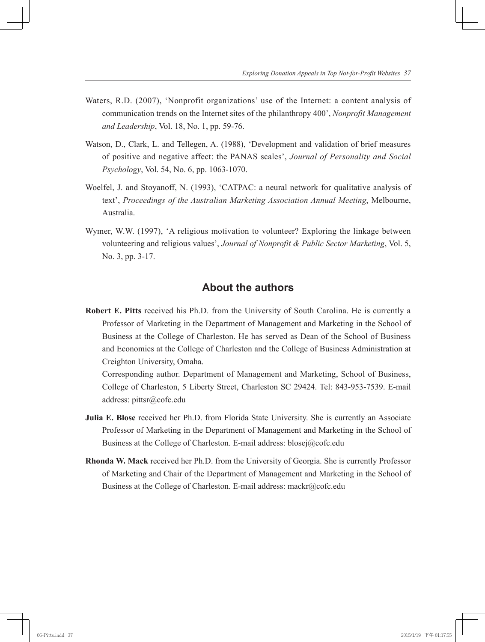- Waters, R.D. (2007), 'Nonprofit organizations' use of the Internet: a content analysis of communication trends on the Internet sites of the philanthropy 400', *Nonprofit Management and Leadership*, Vol. 18, No. 1, pp. 59-76.
- Watson, D., Clark, L. and Tellegen, A. (1988), 'Development and validation of brief measures of positive and negative affect: the PANAS scales', *Journal of Personality and Social Psychology*, Vol. 54, No. 6, pp. 1063-1070.
- Woelfel, J. and Stoyanoff, N. (1993), 'CATPAC: a neural network for qualitative analysis of text', *Proceedings of the Australian Marketing Association Annual Meeting*, Melbourne, Australia.
- Wymer, W.W. (1997), 'A religious motivation to volunteer? Exploring the linkage between volunteering and religious values', *Journal of Nonprofit & Public Sector Marketing*, Vol. 5, No. 3, pp. 3-17.

# **About the authors**

**Robert E. Pitts** received his Ph.D. from the University of South Carolina. He is currently a Professor of Marketing in the Department of Management and Marketing in the School of Business at the College of Charleston. He has served as Dean of the School of Business and Economics at the College of Charleston and the College of Business Administration at Creighton University, Omaha.

Corresponding author. Department of Management and Marketing, School of Business, College of Charleston, 5 Liberty Street, Charleston SC 29424. Tel: 843-953-7539. E-mail address: pittsr@cofc.edu

- **Julia E. Blose** received her Ph.D. from Florida State University. She is currently an Associate Professor of Marketing in the Department of Management and Marketing in the School of Business at the College of Charleston. E-mail address: blosej@cofc.edu
- **Rhonda W. Mack** received her Ph.D. from the University of Georgia. She is currently Professor of Marketing and Chair of the Department of Management and Marketing in the School of Business at the College of Charleston. E-mail address: mackr@cofc.edu